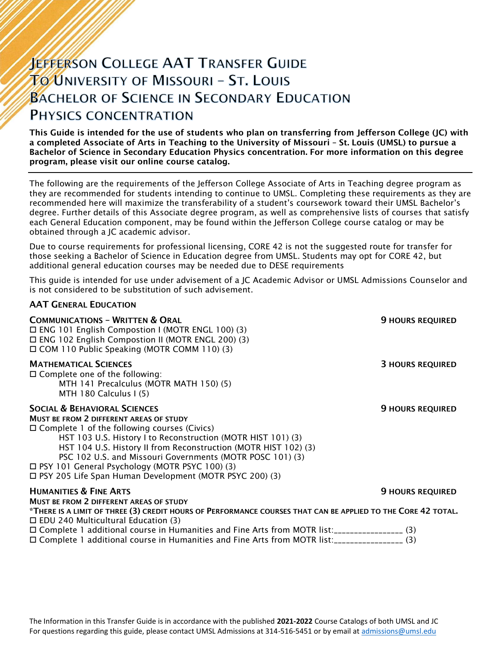# **JEFFERSON COLLEGE AAT TRANSFER GUIDE TO UNIVERSITY OF MISSOURI - ST. LOUIS BACHELOR OF SCIENCE IN SECONDARY EDUCATION** PHYSICS CONCENTRATION

This Guide is intended for the use of students who plan on transferring from Jefferson College (JC) with a completed Associate of Arts in Teaching to the University of Missouri – St. Louis (UMSL) to pursue a Bachelor of Science in Secondary Education Physics concentration. For more information on this degree program, please visit our online course catalog.

The following are the requirements of the Jefferson College Associate of Arts in Teaching degree program as they are recommended for students intending to continue to UMSL. Completing these requirements as they are recommended here will maximize the transferability of a student's coursework toward their UMSL Bachelor's degree. Further details of this Associate degree program, as well as comprehensive lists of courses that satisfy each General Education component, may be found within the Jefferson College course catalog or may be obtained through a JC academic advisor.

Due to course requirements for professional licensing, CORE 42 is not the suggested route for transfer for those seeking a Bachelor of Science in Education degree from UMSL. Students may opt for CORE 42, but additional general education courses may be needed due to DESE requirements

This guide is intended for use under advisement of a JC Academic Advisor or UMSL Admissions Counselor and is not considered to be substitution of such advisement.

#### AAT GENERAL EDUCATION

| <b>COMMUNICATIONS - WRITTEN &amp; ORAL</b><br>$\Box$ ENG 101 English Compostion I (MOTR ENGL 100) (3)<br>□ ENG 102 English Compostion II (MOTR ENGL 200) (3)<br>□ COM 110 Public Speaking (MOTR COMM 110) (3)                                                                                                                                                                                                                                                     | <b>9 HOURS REQUIRED</b> |
|-------------------------------------------------------------------------------------------------------------------------------------------------------------------------------------------------------------------------------------------------------------------------------------------------------------------------------------------------------------------------------------------------------------------------------------------------------------------|-------------------------|
| <b>MATHEMATICAL SCIENCES</b><br>$\Box$ Complete one of the following:<br>MTH 141 Precalculus (MOTR MATH 150) (5)<br>MTH 180 Calculus I (5)                                                                                                                                                                                                                                                                                                                        | <b>3 HOURS REQUIRED</b> |
| <b>SOCIAL &amp; BEHAVIORAL SCIENCES</b><br><b>MUST BE FROM 2 DIFFERENT AREAS OF STUDY</b><br>$\Box$ Complete 1 of the following courses (Civics)<br>HST 103 U.S. History I to Reconstruction (MOTR HIST 101) (3)<br>HST 104 U.S. History II from Reconstruction (MOTR HIST 102) (3)<br>PSC 102 U.S. and Missouri Governments (MOTR POSC 101) (3)<br>□ PSY 101 General Psychology (MOTR PSYC 100) (3)<br>□ PSY 205 Life Span Human Development (MOTR PSYC 200) (3) | <b>9 HOURS REQUIRED</b> |
| <b>HUMANITIES &amp; FINE ARTS</b>                                                                                                                                                                                                                                                                                                                                                                                                                                 | <b>9 HOURS REQUIRED</b> |
| MUST BE FROM 2 DIFFERENT AREAS OF STUDY<br>*THERE IS A LIMIT OF THREE (3) CREDIT HOURS OF PERFORMANCE COURSES THAT CAN BE APPLIED TO THE CORE 42 TOTAL.<br>$\Box$ EDU 240 Multicultural Education (3)                                                                                                                                                                                                                                                             |                         |
| □ Complete 1 additional course in Humanities and Fine Arts from MOTR list:__________________(3)<br>□ Complete 1 additional course in Humanities and Fine Arts from MOTR list:_________________(3)                                                                                                                                                                                                                                                                 |                         |